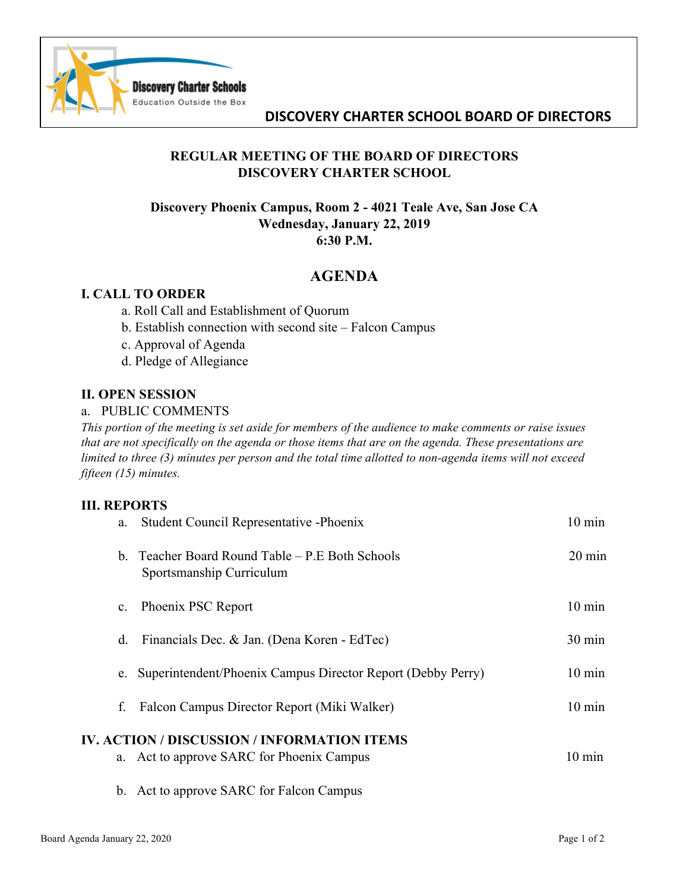

# **DISCOVERY CHARTER SCHOOL BOARD OF DIRECTORS**

# **REGULAR MEETING OF THE BOARD OF DIRECTORS DISCOVERY CHARTER SCHOOL**

## **Discovery Phoenix Campus, Room 2 - 4021 Teale Ave, San Jose CA Wednesday, January 22, 2019 6:30 P.M.**

# **AGENDA**

### **I. CALL TO ORDER**

- a. Roll Call and Establishment of Quorum
- b. Establish connection with second site Falcon Campus
- c. Approval of Agenda
- d. Pledge of Allegiance

#### **II. OPEN SESSION**

#### a. PUBLIC COMMENTS

*This portion of the meeting is set aside for members of the audience to make comments or raise issues that are not specifically on the agenda or those items that are on the agenda. These presentations are limited to three (3) minutes per person and the total time allotted to non-agenda items will not exceed fifteen (15) minutes.*

#### **III. REPORTS**

| a.             | Student Council Representative - Phoenix                                    | $10 \text{ min}$ |
|----------------|-----------------------------------------------------------------------------|------------------|
|                | b. Teacher Board Round Table – P.E Both Schools<br>Sportsmanship Curriculum | $20 \text{ min}$ |
| $\mathbf{c}$ . | Phoenix PSC Report                                                          | $10 \text{ min}$ |
| d.             | Financials Dec. & Jan. (Dena Koren - EdTec)                                 | 30 min           |
| e.             | Superintendent/Phoenix Campus Director Report (Debby Perry)                 | $10 \text{ min}$ |
| f.             | Falcon Campus Director Report (Miki Walker)                                 | $10 \text{ min}$ |
|                | <b>IV. ACTION / DISCUSSION / INFORMATION ITEMS</b>                          |                  |
|                | a. Act to approve SARC for Phoenix Campus                                   | $10 \text{ min}$ |
|                | b. Act to approve SARC for Falcon Campus                                    |                  |